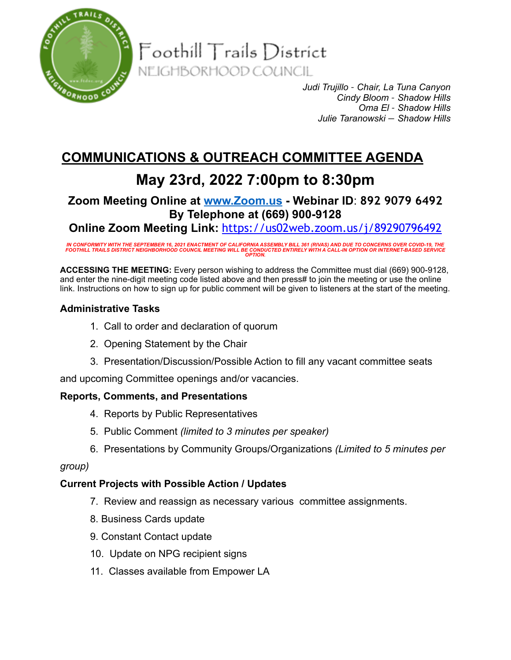

 $\mathsf{F}{\mathsf{o}{\mathsf{o}{\mathsf{th}}}$ ill  $\mathsf{T}{\mathsf{r}{\mathsf{a}}}{\mathsf{i}{\mathsf{l}}}{\mathsf{s}{\mathsf{D}}}{\mathsf{i}{\mathsf{s}{\mathsf{t}}}{\mathsf{i}{\mathsf{c}}}{\mathsf{t}}}$ NEIGHBORHOOD COUNCIL

> *Judi Trujillo – Chair, La Tuna Canyon Cindy Bloom – Shadow Hills Oma El – Shadow Hills Julie Taranowski — Shadow Hills*

# **COMMUNICATIONS & OUTREACH COMMITTEE AGENDA**

# **May 23rd, 2022 7:00pm to 8:30pm**

# **Zoom Meeting Online at [www.Zoom.us](http://www.zoom.us) - Webinar ID**: **892 9079 6492 By Telephone at (669) 900-9128**

**Online Zoom Meeting Link:** <https://us02web.zoom.us/j/89290796492>

IN CONFORMITY WITH THE SEPTEMBER 16, 2021 ENACTMENT OF CALIFORNIA ASSEMBLY BILL 361 (RIVAS) AND DUE TO CONCERNS OVER COVID-19, THE<br>FOOTHILL TRAILS DISTRICT NEIGHBORHOOD COUNCIL MEETING WILL BE CONDUCTED ENTIRELY WITH A CAL

**ACCESSING THE MEETING:** Every person wishing to address the Committee must dial (669) 900-9128, and enter the nine-digit meeting code listed above and then press# to join the meeting or use the online link. Instructions on how to sign up for public comment will be given to listeners at the start of the meeting.

## **Administrative Tasks**

- 1. Call to order and declaration of quorum
- 2. Opening Statement by the Chair
- 3. Presentation/Discussion/Possible Action to fill any vacant committee seats

and upcoming Committee openings and/or vacancies.

### **Reports, Comments, and Presentations**

- 4. Reports by Public Representatives
- 5. Public Comment *(limited to 3 minutes per speaker)*
- 6. Presentations by Community Groups/Organizations *(Limited to 5 minutes per*

### *group)*

### **Current Projects with Possible Action / Updates**

- 7. Review and reassign as necessary various committee assignments.
- 8. Business Cards update
- 9. Constant Contact update
- 10. Update on NPG recipient signs
- 11. Classes available from Empower LA